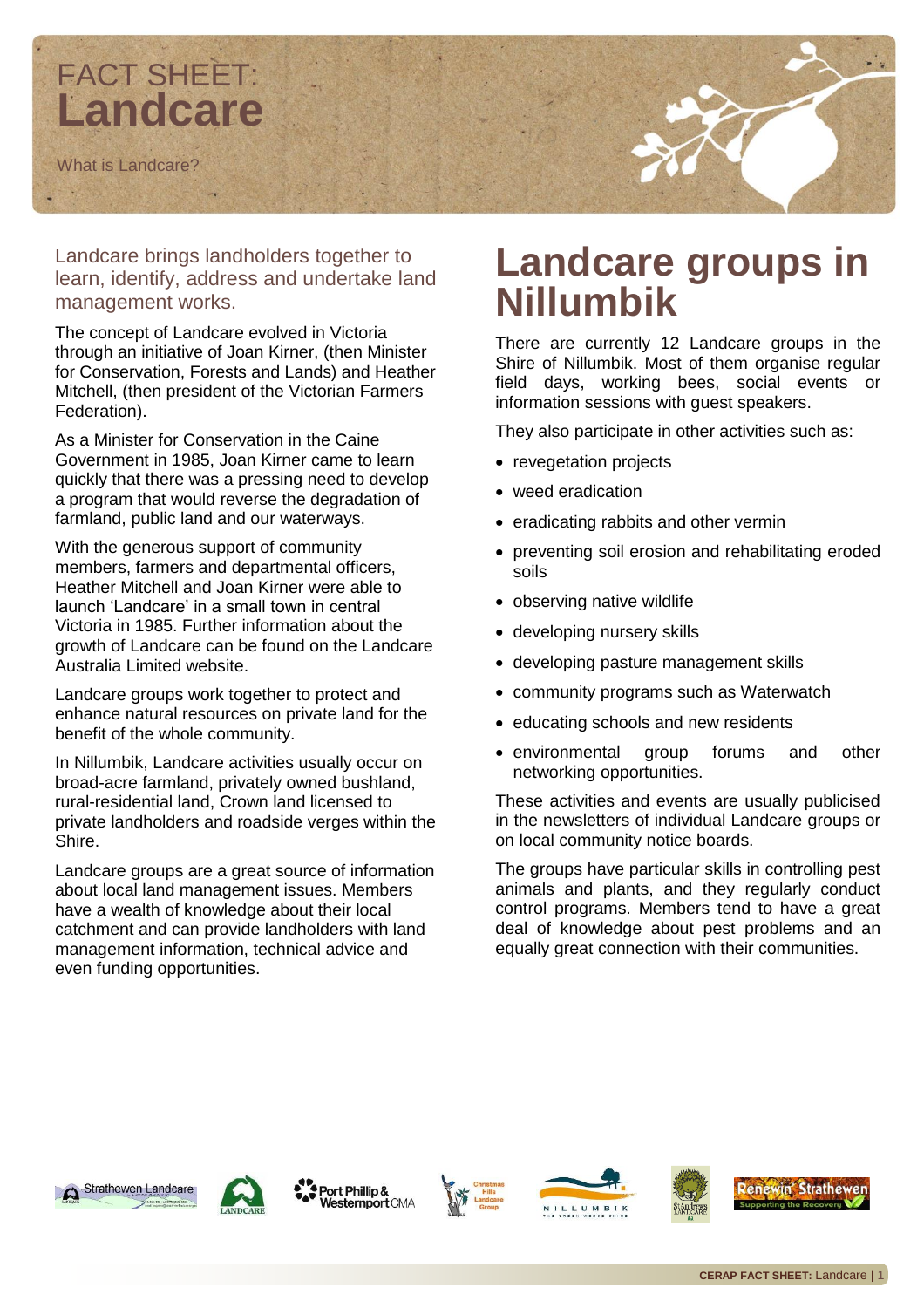

Landcare brings landholders together to learn, identify, address and undertake land management works.

The concept of Landcare evolved in Victoria through an initiative of Joan Kirner, (then Minister for Conservation, Forests and Lands) and Heather Mitchell, (then president of the Victorian Farmers Federation).

As a Minister for Conservation in the Caine Government in 1985, Joan Kirner came to learn quickly that there was a pressing need to develop a program that would reverse the degradation of farmland, public land and our waterways.

With the generous support of community members, farmers and departmental officers, Heather Mitchell and Joan Kirner were able to launch 'Landcare' in a small town in central Victoria in 1985. Further information about the growth of Landcare can be found on the Landcare Australia Limited website.

Landcare groups work together to protect and enhance natural resources on private land for the benefit of the whole community.

In Nillumbik, Landcare activities usually occur on broad-acre farmland, privately owned bushland, rural-residential land, Crown land licensed to private landholders and roadside verges within the Shire.

Landcare groups are a great source of information about local land management issues. Members have a wealth of knowledge about their local catchment and can provide landholders with land management information, technical advice and even funding opportunities.

## **Landcare groups in Nillumbik**

There are currently 12 Landcare groups in the Shire of Nillumbik. Most of them organise regular field days, working bees, social events or information sessions with guest speakers.

They also participate in other activities such as:

- revegetation projects
- weed eradication
- eradicating rabbits and other vermin
- preventing soil erosion and rehabilitating eroded soils
- observing native wildlife
- developing nursery skills
- developing pasture management skills
- community programs such as Waterwatch
- educating schools and new residents
- environmental group forums and other networking opportunities.

These activities and events are usually publicised in the newsletters of individual Landcare groups or on local community notice boards.

The groups have particular skills in controlling pest animals and plants, and they regularly conduct control programs. Members tend to have a great deal of knowledge about pest problems and an equally great connection with their communities.





Port Phillip & **Nesternport CMA**